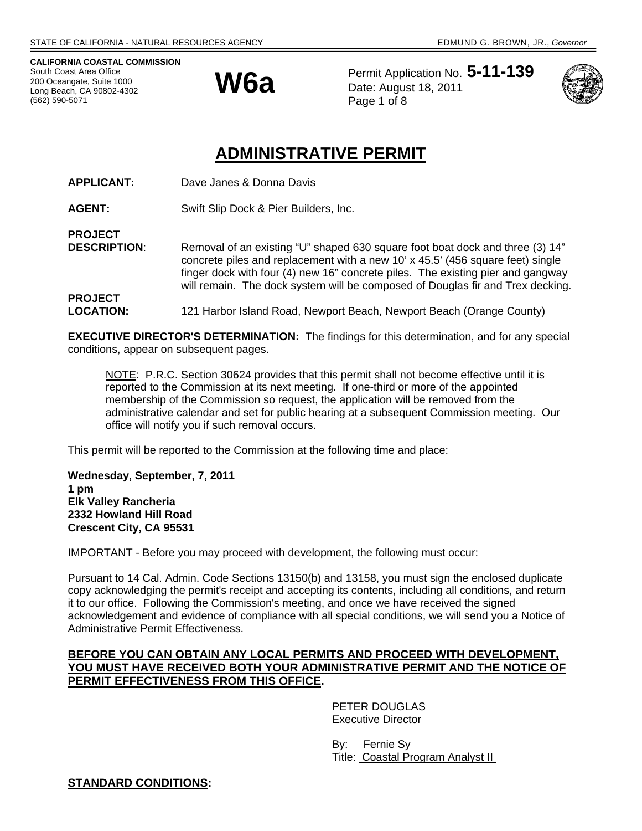**CALIFORNIA COASTAL COMMISSION**  South Coast Area Office 200 Oceangate, Suite 1000 Long Beach, CA 90802-4302 (562) 590-5071



Permit Application No. **5-11-139 W6a** Permit Application No. Page 1 of 8



# **ADMINISTRATIVE PERMIT**

**APPLICANT:** Dave Janes & Donna Davis

**AGENT:** Swift Slip Dock & Pier Builders, Inc.

**PROJECT** 

**PROJECT** 

**DESCRIPTION:** Removal of an existing "U" shaped 630 square foot boat dock and three (3) 14" concrete piles and replacement with a new 10' x 45.5' (456 square feet) single finger dock with four (4) new 16" concrete piles. The existing pier and gangway will remain. The dock system will be composed of Douglas fir and Trex decking.

**LOCATION:** 121 Harbor Island Road, Newport Beach, Newport Beach (Orange County)

**EXECUTIVE DIRECTOR'S DETERMINATION:** The findings for this determination, and for any special conditions, appear on subsequent pages.

NOTE: P.R.C. Section 30624 provides that this permit shall not become effective until it is reported to the Commission at its next meeting. If one-third or more of the appointed membership of the Commission so request, the application will be removed from the administrative calendar and set for public hearing at a subsequent Commission meeting. Our office will notify you if such removal occurs.

This permit will be reported to the Commission at the following time and place:

**Wednesday, September, 7, 2011 1 pm Elk Valley Rancheria 2332 Howland Hill Road Crescent City, CA 95531** 

IMPORTANT - Before you may proceed with development, the following must occur:

Pursuant to 14 Cal. Admin. Code Sections 13150(b) and 13158, you must sign the enclosed duplicate copy acknowledging the permit's receipt and accepting its contents, including all conditions, and return it to our office. Following the Commission's meeting, and once we have received the signed acknowledgement and evidence of compliance with all special conditions, we will send you a Notice of Administrative Permit Effectiveness.

## **BEFORE YOU CAN OBTAIN ANY LOCAL PERMITS AND PROCEED WITH DEVELOPMENT, YOU MUST HAVE RECEIVED BOTH YOUR ADMINISTRATIVE PERMIT AND THE NOTICE OF PERMIT EFFECTIVENESS FROM THIS OFFICE.**

 PETER DOUGLAS Executive Director

 By: Fernie Sy Title: Coastal Program Analyst II

**STANDARD CONDITIONS:**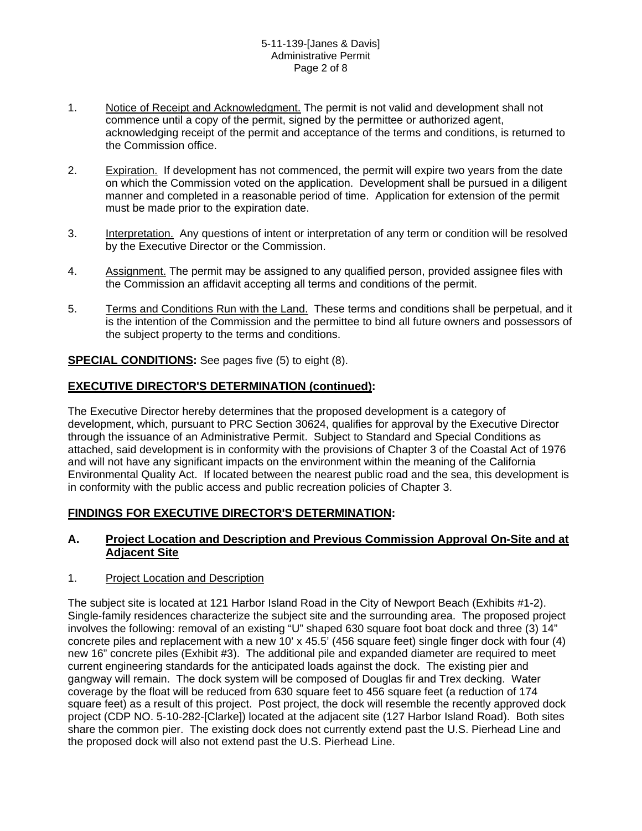- 1. Notice of Receipt and Acknowledgment. The permit is not valid and development shall not commence until a copy of the permit, signed by the permittee or authorized agent, acknowledging receipt of the permit and acceptance of the terms and conditions, is returned to the Commission office.
- 2. Expiration. If development has not commenced, the permit will expire two years from the date on which the Commission voted on the application. Development shall be pursued in a diligent manner and completed in a reasonable period of time. Application for extension of the permit must be made prior to the expiration date.
- 3. Interpretation. Any questions of intent or interpretation of any term or condition will be resolved by the Executive Director or the Commission.
- 4. Assignment. The permit may be assigned to any qualified person, provided assignee files with the Commission an affidavit accepting all terms and conditions of the permit.
- 5. Terms and Conditions Run with the Land. These terms and conditions shall be perpetual, and it is the intention of the Commission and the permittee to bind all future owners and possessors of the subject property to the terms and conditions.

**SPECIAL CONDITIONS:** See pages five (5) to eight (8).

## **EXECUTIVE DIRECTOR'S DETERMINATION (continued):**

The Executive Director hereby determines that the proposed development is a category of development, which, pursuant to PRC Section 30624, qualifies for approval by the Executive Director through the issuance of an Administrative Permit. Subject to Standard and Special Conditions as attached, said development is in conformity with the provisions of Chapter 3 of the Coastal Act of 1976 and will not have any significant impacts on the environment within the meaning of the California Environmental Quality Act. If located between the nearest public road and the sea, this development is in conformity with the public access and public recreation policies of Chapter 3.

## **FINDINGS FOR EXECUTIVE DIRECTOR'S DETERMINATION:**

## **A. Project Location and Description and Previous Commission Approval On-Site and at Adjacent Site**

### 1. Project Location and Description

The subject site is located at 121 Harbor Island Road in the City of Newport Beach (Exhibits #1-2). Single-family residences characterize the subject site and the surrounding area. The proposed project involves the following: removal of an existing "U" shaped 630 square foot boat dock and three (3) 14" concrete piles and replacement with a new 10' x 45.5' (456 square feet) single finger dock with four (4) new 16" concrete piles (Exhibit #3). The additional pile and expanded diameter are required to meet current engineering standards for the anticipated loads against the dock. The existing pier and gangway will remain. The dock system will be composed of Douglas fir and Trex decking. Water coverage by the float will be reduced from 630 square feet to 456 square feet (a reduction of 174 square feet) as a result of this project. Post project, the dock will resemble the recently approved dock project (CDP NO. 5-10-282-[Clarke]) located at the adjacent site (127 Harbor Island Road). Both sites share the common pier. The existing dock does not currently extend past the U.S. Pierhead Line and the proposed dock will also not extend past the U.S. Pierhead Line.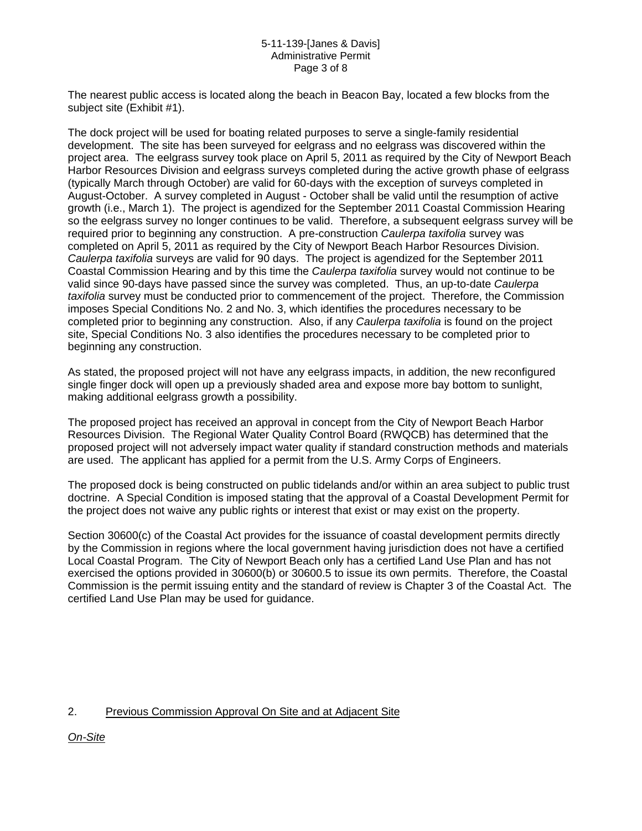#### 5-11-139-[Janes & Davis] Administrative Permit Page 3 of 8

The nearest public access is located along the beach in Beacon Bay, located a few blocks from the subject site (Exhibit #1).

The dock project will be used for boating related purposes to serve a single-family residential development. The site has been surveyed for eelgrass and no eelgrass was discovered within the project area. The eelgrass survey took place on April 5, 2011 as required by the City of Newport Beach Harbor Resources Division and eelgrass surveys completed during the active growth phase of eelgrass (typically March through October) are valid for 60-days with the exception of surveys completed in August-October. A survey completed in August - October shall be valid until the resumption of active growth (i.e., March 1). The project is agendized for the September 2011 Coastal Commission Hearing so the eelgrass survey no longer continues to be valid. Therefore, a subsequent eelgrass survey will be required prior to beginning any construction. A pre-construction *Caulerpa taxifolia* survey was completed on April 5, 2011 as required by the City of Newport Beach Harbor Resources Division. *Caulerpa taxifolia* surveys are valid for 90 days. The project is agendized for the September 2011 Coastal Commission Hearing and by this time the *Caulerpa taxifolia* survey would not continue to be valid since 90-days have passed since the survey was completed. Thus, an up-to-date *Caulerpa taxifolia* survey must be conducted prior to commencement of the project. Therefore, the Commission imposes Special Conditions No. 2 and No. 3, which identifies the procedures necessary to be completed prior to beginning any construction. Also, if any *Caulerpa taxifolia* is found on the project site, Special Conditions No. 3 also identifies the procedures necessary to be completed prior to beginning any construction.

As stated, the proposed project will not have any eelgrass impacts, in addition, the new reconfigured single finger dock will open up a previously shaded area and expose more bay bottom to sunlight, making additional eelgrass growth a possibility.

The proposed project has received an approval in concept from the City of Newport Beach Harbor Resources Division. The Regional Water Quality Control Board (RWQCB) has determined that the proposed project will not adversely impact water quality if standard construction methods and materials are used. The applicant has applied for a permit from the U.S. Army Corps of Engineers.

The proposed dock is being constructed on public tidelands and/or within an area subject to public trust doctrine. A Special Condition is imposed stating that the approval of a Coastal Development Permit for the project does not waive any public rights or interest that exist or may exist on the property.

Section 30600(c) of the Coastal Act provides for the issuance of coastal development permits directly by the Commission in regions where the local government having jurisdiction does not have a certified Local Coastal Program. The City of Newport Beach only has a certified Land Use Plan and has not exercised the options provided in 30600(b) or 30600.5 to issue its own permits. Therefore, the Coastal Commission is the permit issuing entity and the standard of review is Chapter 3 of the Coastal Act. The certified Land Use Plan may be used for guidance.

## 2. Previous Commission Approval On Site and at Adjacent Site

*On-Site*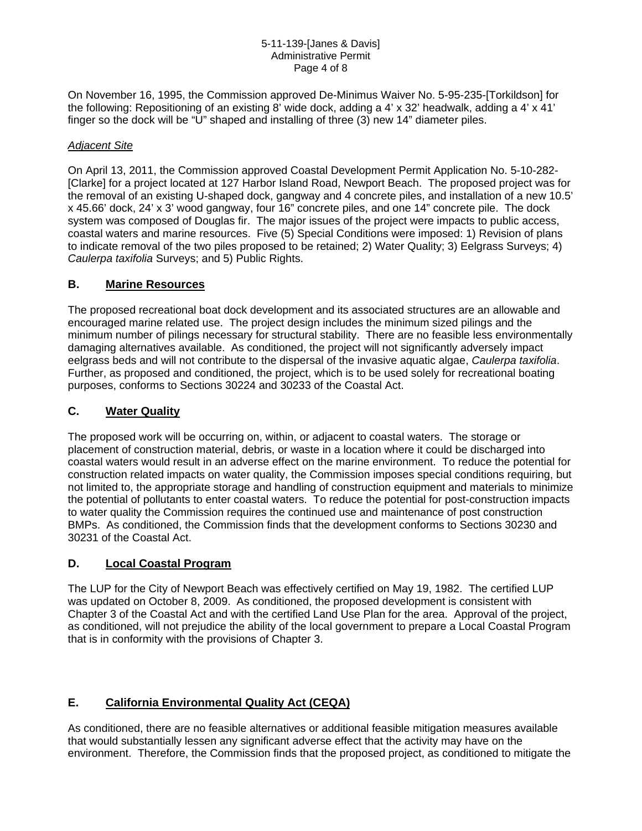#### 5-11-139-[Janes & Davis] Administrative Permit Page 4 of 8

On November 16, 1995, the Commission approved De-Minimus Waiver No. 5-95-235-[Torkildson] for the following: Repositioning of an existing 8' wide dock, adding a 4' x 32' headwalk, adding a 4' x 41' finger so the dock will be "U" shaped and installing of three (3) new 14" diameter piles.

### *Adjacent Site*

On April 13, 2011, the Commission approved Coastal Development Permit Application No. 5-10-282- [Clarke] for a project located at 127 Harbor Island Road, Newport Beach. The proposed project was for the removal of an existing U-shaped dock, gangway and 4 concrete piles, and installation of a new 10.5' x 45.66' dock, 24' x 3' wood gangway, four 16" concrete piles, and one 14" concrete pile. The dock system was composed of Douglas fir. The major issues of the project were impacts to public access, coastal waters and marine resources. Five (5) Special Conditions were imposed: 1) Revision of plans to indicate removal of the two piles proposed to be retained; 2) Water Quality; 3) Eelgrass Surveys; 4) *Caulerpa taxifolia* Surveys; and 5) Public Rights.

## **B. Marine Resources**

The proposed recreational boat dock development and its associated structures are an allowable and encouraged marine related use. The project design includes the minimum sized pilings and the minimum number of pilings necessary for structural stability. There are no feasible less environmentally damaging alternatives available. As conditioned, the project will not significantly adversely impact eelgrass beds and will not contribute to the dispersal of the invasive aquatic algae, *Caulerpa taxifolia*. Further, as proposed and conditioned, the project, which is to be used solely for recreational boating purposes, conforms to Sections 30224 and 30233 of the Coastal Act.

## **C. Water Quality**

The proposed work will be occurring on, within, or adjacent to coastal waters. The storage or placement of construction material, debris, or waste in a location where it could be discharged into coastal waters would result in an adverse effect on the marine environment. To reduce the potential for construction related impacts on water quality, the Commission imposes special conditions requiring, but not limited to, the appropriate storage and handling of construction equipment and materials to minimize the potential of pollutants to enter coastal waters. To reduce the potential for post-construction impacts to water quality the Commission requires the continued use and maintenance of post construction BMPs. As conditioned, the Commission finds that the development conforms to Sections 30230 and 30231 of the Coastal Act.

## **D. Local Coastal Program**

The LUP for the City of Newport Beach was effectively certified on May 19, 1982. The certified LUP was updated on October 8, 2009. As conditioned, the proposed development is consistent with Chapter 3 of the Coastal Act and with the certified Land Use Plan for the area. Approval of the project, as conditioned, will not prejudice the ability of the local government to prepare a Local Coastal Program that is in conformity with the provisions of Chapter 3.

## **E. California Environmental Quality Act (CEQA)**

As conditioned, there are no feasible alternatives or additional feasible mitigation measures available that would substantially lessen any significant adverse effect that the activity may have on the environment. Therefore, the Commission finds that the proposed project, as conditioned to mitigate the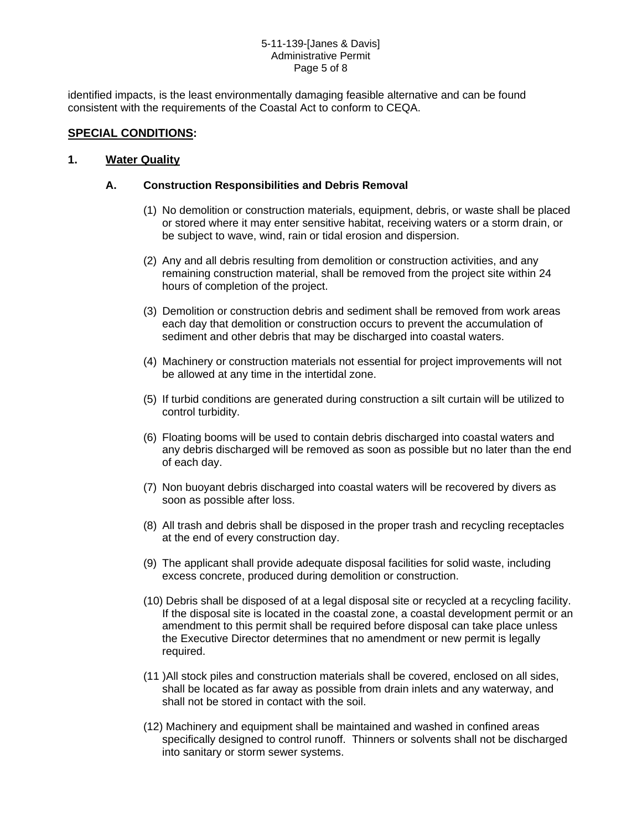#### 5-11-139-[Janes & Davis] Administrative Permit Page 5 of 8

identified impacts, is the least environmentally damaging feasible alternative and can be found consistent with the requirements of the Coastal Act to conform to CEQA.

## **SPECIAL CONDITIONS:**

## **1. Water Quality**

## **A. Construction Responsibilities and Debris Removal**

- (1) No demolition or construction materials, equipment, debris, or waste shall be placed or stored where it may enter sensitive habitat, receiving waters or a storm drain, or be subject to wave, wind, rain or tidal erosion and dispersion.
- (2) Any and all debris resulting from demolition or construction activities, and any remaining construction material, shall be removed from the project site within 24 hours of completion of the project.
- (3) Demolition or construction debris and sediment shall be removed from work areas each day that demolition or construction occurs to prevent the accumulation of sediment and other debris that may be discharged into coastal waters.
- (4) Machinery or construction materials not essential for project improvements will not be allowed at any time in the intertidal zone.
- (5) If turbid conditions are generated during construction a silt curtain will be utilized to control turbidity.
- (6) Floating booms will be used to contain debris discharged into coastal waters and any debris discharged will be removed as soon as possible but no later than the end of each day.
- (7) Non buoyant debris discharged into coastal waters will be recovered by divers as soon as possible after loss.
- (8) All trash and debris shall be disposed in the proper trash and recycling receptacles at the end of every construction day.
- (9) The applicant shall provide adequate disposal facilities for solid waste, including excess concrete, produced during demolition or construction.
- (10) Debris shall be disposed of at a legal disposal site or recycled at a recycling facility. If the disposal site is located in the coastal zone, a coastal development permit or an amendment to this permit shall be required before disposal can take place unless the Executive Director determines that no amendment or new permit is legally required.
- (11 )All stock piles and construction materials shall be covered, enclosed on all sides, shall be located as far away as possible from drain inlets and any waterway, and shall not be stored in contact with the soil.
- (12) Machinery and equipment shall be maintained and washed in confined areas specifically designed to control runoff. Thinners or solvents shall not be discharged into sanitary or storm sewer systems.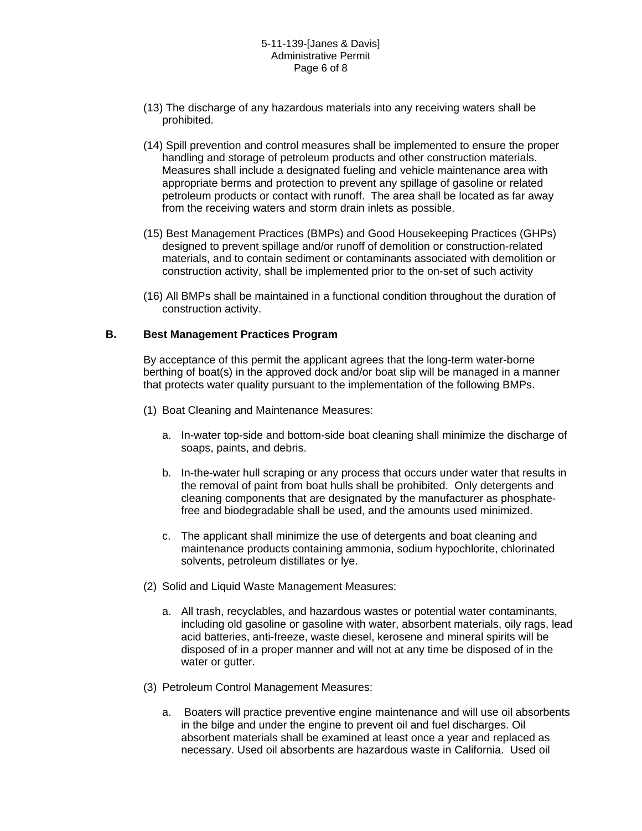#### 5-11-139-[Janes & Davis] Administrative Permit Page 6 of 8

- (13) The discharge of any hazardous materials into any receiving waters shall be prohibited.
- (14) Spill prevention and control measures shall be implemented to ensure the proper handling and storage of petroleum products and other construction materials. Measures shall include a designated fueling and vehicle maintenance area with appropriate berms and protection to prevent any spillage of gasoline or related petroleum products or contact with runoff. The area shall be located as far away from the receiving waters and storm drain inlets as possible.
- (15) Best Management Practices (BMPs) and Good Housekeeping Practices (GHPs) designed to prevent spillage and/or runoff of demolition or construction-related materials, and to contain sediment or contaminants associated with demolition or construction activity, shall be implemented prior to the on-set of such activity
- (16) All BMPs shall be maintained in a functional condition throughout the duration of construction activity.

#### **B. Best Management Practices Program**

By acceptance of this permit the applicant agrees that the long-term water-borne berthing of boat(s) in the approved dock and/or boat slip will be managed in a manner that protects water quality pursuant to the implementation of the following BMPs.

- (1) Boat Cleaning and Maintenance Measures:
	- a. In-water top-side and bottom-side boat cleaning shall minimize the discharge of soaps, paints, and debris.
	- b. In-the-water hull scraping or any process that occurs under water that results in the removal of paint from boat hulls shall be prohibited. Only detergents and cleaning components that are designated by the manufacturer as phosphatefree and biodegradable shall be used, and the amounts used minimized.
	- c. The applicant shall minimize the use of detergents and boat cleaning and maintenance products containing ammonia, sodium hypochlorite, chlorinated solvents, petroleum distillates or lye.
- (2) Solid and Liquid Waste Management Measures:
	- a. All trash, recyclables, and hazardous wastes or potential water contaminants, including old gasoline or gasoline with water, absorbent materials, oily rags, lead acid batteries, anti-freeze, waste diesel, kerosene and mineral spirits will be disposed of in a proper manner and will not at any time be disposed of in the water or gutter.
- (3) Petroleum Control Management Measures:
	- a. Boaters will practice preventive engine maintenance and will use oil absorbents in the bilge and under the engine to prevent oil and fuel discharges. Oil absorbent materials shall be examined at least once a year and replaced as necessary. Used oil absorbents are hazardous waste in California. Used oil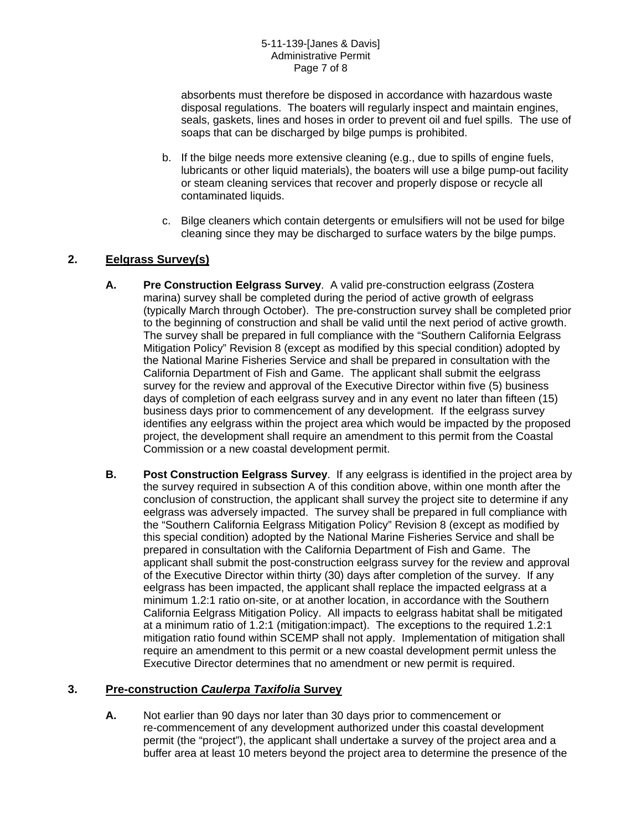absorbents must therefore be disposed in accordance with hazardous waste disposal regulations. The boaters will regularly inspect and maintain engines, seals, gaskets, lines and hoses in order to prevent oil and fuel spills. The use of soaps that can be discharged by bilge pumps is prohibited.

- b. If the bilge needs more extensive cleaning (e.g., due to spills of engine fuels, lubricants or other liquid materials), the boaters will use a bilge pump-out facility or steam cleaning services that recover and properly dispose or recycle all contaminated liquids.
- c. Bilge cleaners which contain detergents or emulsifiers will not be used for bilge cleaning since they may be discharged to surface waters by the bilge pumps.

## **2. Eelgrass Survey(s)**

- **A. Pre Construction Eelgrass Survey**. A valid pre-construction eelgrass (Zostera marina) survey shall be completed during the period of active growth of eelgrass (typically March through October). The pre-construction survey shall be completed prior to the beginning of construction and shall be valid until the next period of active growth. The survey shall be prepared in full compliance with the "Southern California Eelgrass Mitigation Policy" Revision 8 (except as modified by this special condition) adopted by the National Marine Fisheries Service and shall be prepared in consultation with the California Department of Fish and Game. The applicant shall submit the eelgrass survey for the review and approval of the Executive Director within five (5) business days of completion of each eelgrass survey and in any event no later than fifteen (15) business days prior to commencement of any development. If the eelgrass survey identifies any eelgrass within the project area which would be impacted by the proposed project, the development shall require an amendment to this permit from the Coastal Commission or a new coastal development permit.
- **B. Post Construction Eelgrass Survey**. If any eelgrass is identified in the project area by the survey required in subsection A of this condition above, within one month after the conclusion of construction, the applicant shall survey the project site to determine if any eelgrass was adversely impacted. The survey shall be prepared in full compliance with the "Southern California Eelgrass Mitigation Policy" Revision 8 (except as modified by this special condition) adopted by the National Marine Fisheries Service and shall be prepared in consultation with the California Department of Fish and Game. The applicant shall submit the post-construction eelgrass survey for the review and approval of the Executive Director within thirty (30) days after completion of the survey. If any eelgrass has been impacted, the applicant shall replace the impacted eelgrass at a minimum 1.2:1 ratio on-site, or at another location, in accordance with the Southern California Eelgrass Mitigation Policy. All impacts to eelgrass habitat shall be mitigated at a minimum ratio of 1.2:1 (mitigation:impact). The exceptions to the required 1.2:1 mitigation ratio found within SCEMP shall not apply. Implementation of mitigation shall require an amendment to this permit or a new coastal development permit unless the Executive Director determines that no amendment or new permit is required.

## **3. Pre-construction** *Caulerpa Taxifolia* **Survey**

**A.** Not earlier than 90 days nor later than 30 days prior to commencement or re-commencement of any development authorized under this coastal development permit (the "project"), the applicant shall undertake a survey of the project area and a buffer area at least 10 meters beyond the project area to determine the presence of the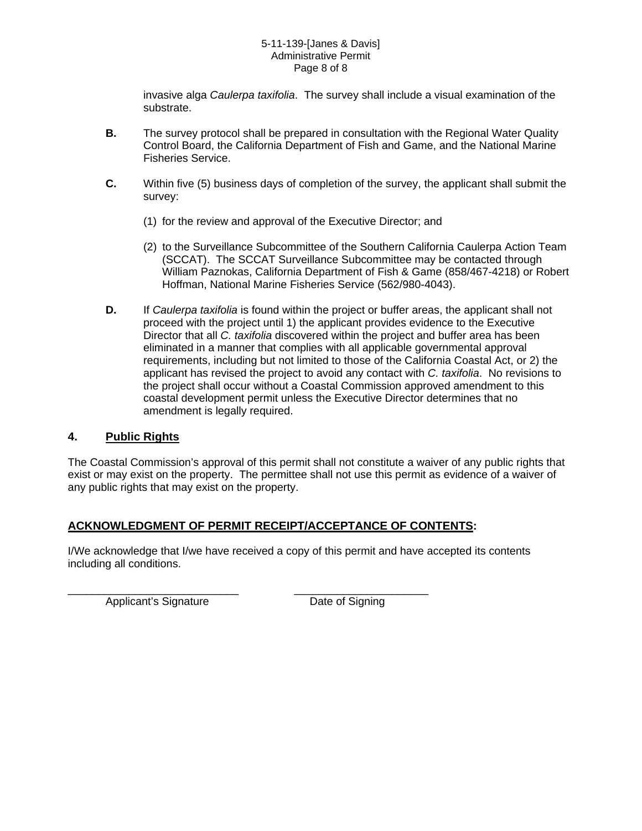#### 5-11-139-[Janes & Davis] Administrative Permit Page 8 of 8

invasive alga *Caulerpa taxifolia*. The survey shall include a visual examination of the substrate.

- **B.** The survey protocol shall be prepared in consultation with the Regional Water Quality Control Board, the California Department of Fish and Game, and the National Marine Fisheries Service.
- **C.** Within five (5) business days of completion of the survey, the applicant shall submit the survey:
	- (1) for the review and approval of the Executive Director; and
	- (2) to the Surveillance Subcommittee of the Southern California Caulerpa Action Team (SCCAT). The SCCAT Surveillance Subcommittee may be contacted through William Paznokas, California Department of Fish & Game (858/467-4218) or Robert Hoffman, National Marine Fisheries Service (562/980-4043).
- **D.** If *Caulerpa taxifolia* is found within the project or buffer areas, the applicant shall not proceed with the project until 1) the applicant provides evidence to the Executive Director that all *C. taxifolia* discovered within the project and buffer area has been eliminated in a manner that complies with all applicable governmental approval requirements, including but not limited to those of the California Coastal Act, or 2) the applicant has revised the project to avoid any contact with *C. taxifolia*. No revisions to the project shall occur without a Coastal Commission approved amendment to this coastal development permit unless the Executive Director determines that no amendment is legally required.

## **4. Public Rights**

The Coastal Commission's approval of this permit shall not constitute a waiver of any public rights that exist or may exist on the property. The permittee shall not use this permit as evidence of a waiver of any public rights that may exist on the property.

## **ACKNOWLEDGMENT OF PERMIT RECEIPT/ACCEPTANCE OF CONTENTS:**

I/We acknowledge that I/we have received a copy of this permit and have accepted its contents including all conditions.

Applicant's Signature **Date of Signing** 

\_\_\_\_\_\_\_\_\_\_\_\_\_\_\_\_\_\_\_\_\_\_\_\_\_\_\_\_ \_\_\_\_\_\_\_\_\_\_\_\_\_\_\_\_\_\_\_\_\_\_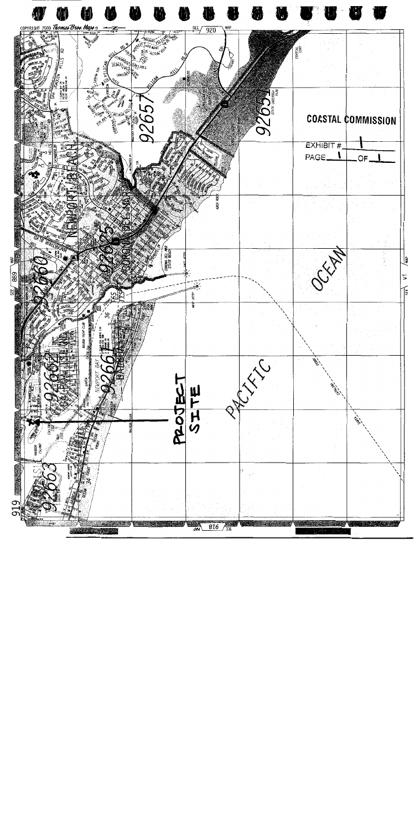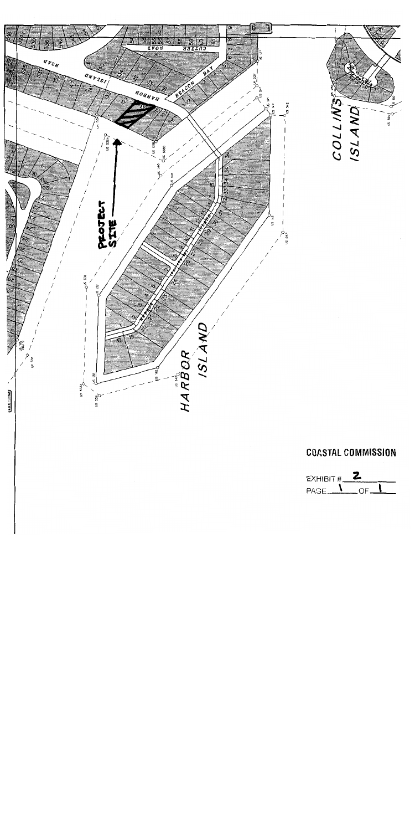

# **COASTAL COMMISSION**